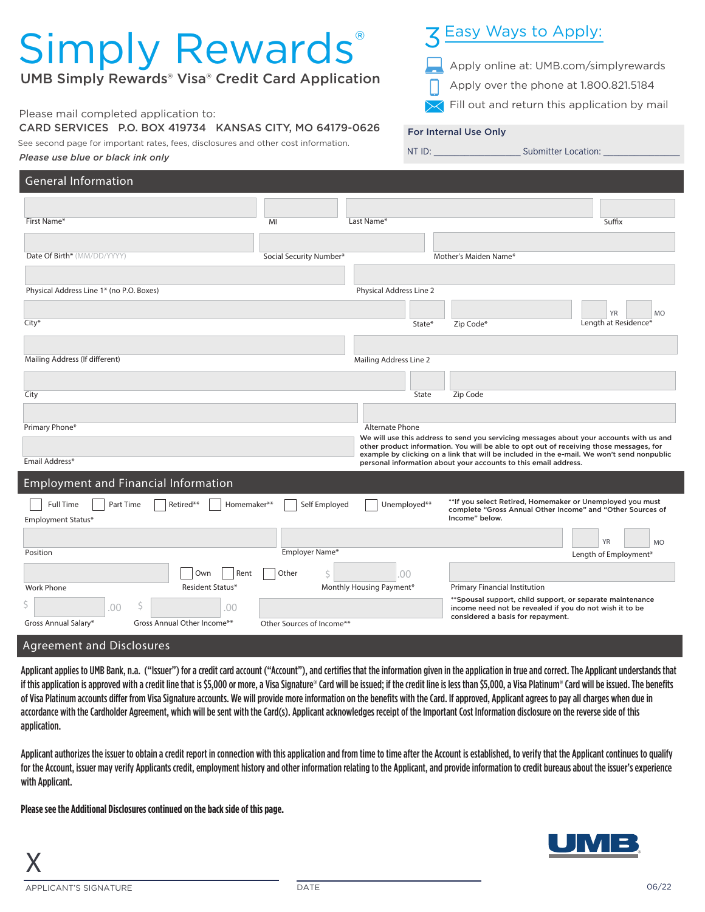# Simply Rewards®

UMB Simply Rewards® Visa® Credit Card Application

#### Please mail completed application to:

CARD SERVICES P.O. BOX 419734 KANSAS CITY, MO 64179-0626

See second page for important rates, fees, disclosures and other cost information.

## *Please use blue or black ink only*

#### General Information Employment and Financial Information Date Of Birth\* (MM/DD/YYYY) First Name\* Physical Address Line 1\* (no P.O. Boxes) Length at Residence\* YR MC MI Suffix and the set of the set of the set of the set of the set of the set of the set of the set of the set of the set of the set of the set of the set of the set of the set of the set of the set of the set of the set of Physical Address Line 2 City\* State\* Zip Code\* Mailing Address (If different) and the control of the control of the control of the control of the control of the control of the control of the control of the control of the control of the control of the control of the con City State Zip Code Primary Phone\* Alternate Phone Alternate Phone Alternate Phone Alternate Phone Alternate Phone Alternate Phone Alternate Phone Alternate Phone Alternate Phone Alternate Phone Alternate Phone Alternate Phone Alternate Phone Employment Status\* Full Time | | Part Time | | | Retired\*\* | | Homemaker\*\* | | Self Employed | | | Unemployed\*\* Position Gross Annual Salary\* Gross Annual Other Income\*\* Work Phone Length of Employment\* YR MO Primary Financial Institution Employer Name\* Monthly Housing Payment\*  $\zeta$  .00 \$ .00 \$ .00 Other Sources of Income\*\* Social Security Number\* Mother's Maiden Name\* Email Address\* Resident Status\* | Own | Rent | Other \*\*Spousal support, child support, or separate maintenance income need not be revealed if you do not wish it to be considered a basis for repayment. We will use this address to send you servicing messages about your accounts with us and other product information. You will be able to opt out of receiving those messages, for example by clicking on a link that will be included in the e-mail. We won't send nonpublic personal information about your accounts to this email address. \*\*If you select Retired, Homemaker or Unemployed you must complete "Gross Annual Other Income" and "Other Sources of Income" below.

### Agreement and Disclosures

Applicant applies to UMB Bank, n.a. ("Issuer") for a credit card account ("Account"), and certifies that the information given in the application in true and correct. The Applicant understands that if this application is approved with a credit line that is \$5,000 or more, a Visa Signature® Card will be issued; if the credit line is less than \$5,000, a Visa Platinum® Card will be issued. The benefits of Visa Platinum accounts differ from Visa Signature accounts. We will provide more information on the benefits with the Card. If approved, Applicant agrees to pay all charges when due in accordance with the Cardholder Agreement, which will be sent with the Card(s). Applicant acknowledges receipt of the Important Cost Information disclosure on the reverse side of this application.

Applicant authorizes the issuer to obtain a credit report in connection with this application and from time to time after the Account is established, to verify that the Applicant continues to qualify for the Account, issuer may verify Applicants credit, employment history and other information relating to the Applicant, and provide information to credit bureaus about the issuer's experience with Applicant.

**Please see the Additional Disclosures continued on the back side of this page.**



## Easy Ways to Apply:

NT ID: \_\_\_\_\_\_\_\_\_\_\_\_\_\_\_\_\_ Submitter Location: \_\_\_\_\_\_\_\_\_\_\_\_\_\_\_

- Apply online at: UMB.com/simplyrewards
- Apply over the phone at 1.800.821.5184
- Fill out and return this application by mail

#### For Internal Use Only